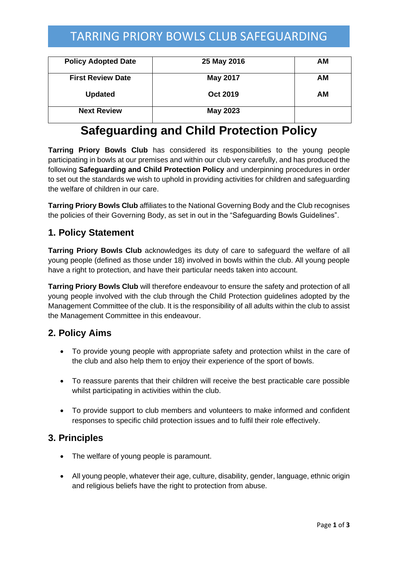# TARRING PRIORY BOWLS CLUB SAFEGUARDING

| <b>Policy Adopted Date</b> | 25 May 2016     | AМ |
|----------------------------|-----------------|----|
| <b>First Review Date</b>   | May 2017        | AМ |
| <b>Updated</b>             | <b>Oct 2019</b> | ΑM |
| <b>Next Review</b>         | <b>May 2023</b> |    |

# **Safeguarding and Child Protection Policy**

**Tarring Priory Bowls Club** has considered its responsibilities to the young people participating in bowls at our premises and within our club very carefully, and has produced the following **Safeguarding and Child Protection Policy** and underpinning procedures in order to set out the standards we wish to uphold in providing activities for children and safeguarding the welfare of children in our care.

**Tarring Priory Bowls Club** affiliates to the National Governing Body and the Club recognises the policies of their Governing Body, as set in out in the "Safeguarding Bowls Guidelines".

### **1. Policy Statement**

**Tarring Priory Bowls Club** acknowledges its duty of care to safeguard the welfare of all young people (defined as those under 18) involved in bowls within the club. All young people have a right to protection, and have their particular needs taken into account.

**Tarring Priory Bowls Club** will therefore endeavour to ensure the safety and protection of all young people involved with the club through the Child Protection guidelines adopted by the Management Committee of the club. It is the responsibility of all adults within the club to assist the Management Committee in this endeavour.

### **2. Policy Aims**

- To provide young people with appropriate safety and protection whilst in the care of the club and also help them to enjoy their experience of the sport of bowls.
- To reassure parents that their children will receive the best practicable care possible whilst participating in activities within the club.
- To provide support to club members and volunteers to make informed and confident responses to specific child protection issues and to fulfil their role effectively.

#### **3. Principles**

- The welfare of young people is paramount.
- All young people, whatever their age, culture, disability, gender, language, ethnic origin and religious beliefs have the right to protection from abuse.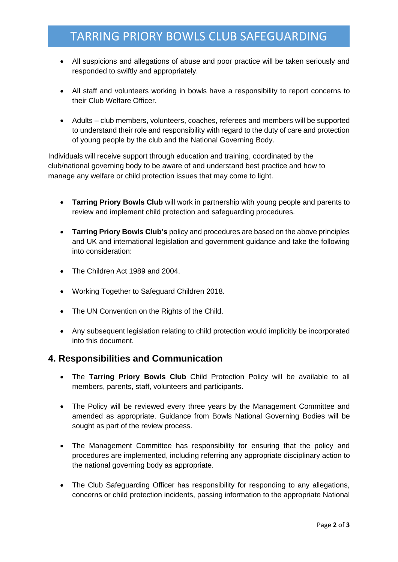# TARRING PRIORY BOWLS CLUB SAFEGUARDING

- All suspicions and allegations of abuse and poor practice will be taken seriously and responded to swiftly and appropriately.
- All staff and volunteers working in bowls have a responsibility to report concerns to their Club Welfare Officer.
- Adults club members, volunteers, coaches, referees and members will be supported to understand their role and responsibility with regard to the duty of care and protection of young people by the club and the National Governing Body.

Individuals will receive support through education and training, coordinated by the club/national governing body to be aware of and understand best practice and how to manage any welfare or child protection issues that may come to light.

- **Tarring Priory Bowls Club** will work in partnership with young people and parents to review and implement child protection and safeguarding procedures.
- **Tarring Priory Bowls Club's** policy and procedures are based on the above principles and UK and international legislation and government guidance and take the following into consideration:
- The Children Act 1989 and 2004.
- Working Together to Safeguard Children 2018.
- The UN Convention on the Rights of the Child.
- Any subsequent legislation relating to child protection would implicitly be incorporated into this document.

#### **4. Responsibilities and Communication**

- The **Tarring Priory Bowls Club** Child Protection Policy will be available to all members, parents, staff, volunteers and participants.
- The Policy will be reviewed every three years by the Management Committee and amended as appropriate. Guidance from Bowls National Governing Bodies will be sought as part of the review process.
- The Management Committee has responsibility for ensuring that the policy and procedures are implemented, including referring any appropriate disciplinary action to the national governing body as appropriate.
- The Club Safeguarding Officer has responsibility for responding to any allegations, concerns or child protection incidents, passing information to the appropriate National